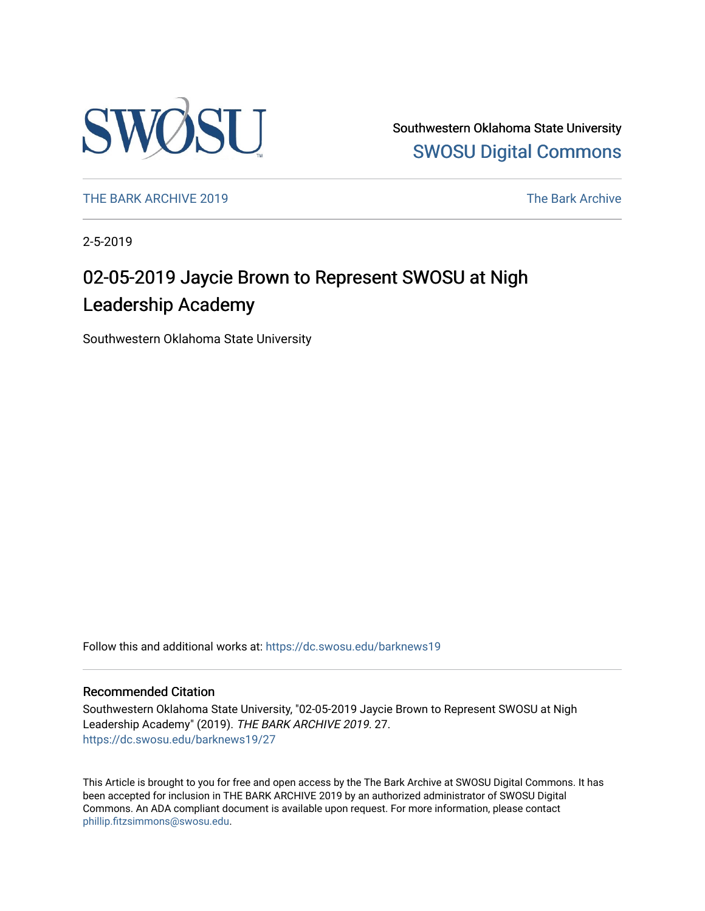

Southwestern Oklahoma State University [SWOSU Digital Commons](https://dc.swosu.edu/) 

[THE BARK ARCHIVE 2019](https://dc.swosu.edu/barknews19) The Bark Archive

2-5-2019

## 02-05-2019 Jaycie Brown to Represent SWOSU at Nigh Leadership Academy

Southwestern Oklahoma State University

Follow this and additional works at: [https://dc.swosu.edu/barknews19](https://dc.swosu.edu/barknews19?utm_source=dc.swosu.edu%2Fbarknews19%2F27&utm_medium=PDF&utm_campaign=PDFCoverPages)

#### Recommended Citation

Southwestern Oklahoma State University, "02-05-2019 Jaycie Brown to Represent SWOSU at Nigh Leadership Academy" (2019). THE BARK ARCHIVE 2019. 27. [https://dc.swosu.edu/barknews19/27](https://dc.swosu.edu/barknews19/27?utm_source=dc.swosu.edu%2Fbarknews19%2F27&utm_medium=PDF&utm_campaign=PDFCoverPages) 

This Article is brought to you for free and open access by the The Bark Archive at SWOSU Digital Commons. It has been accepted for inclusion in THE BARK ARCHIVE 2019 by an authorized administrator of SWOSU Digital Commons. An ADA compliant document is available upon request. For more information, please contact [phillip.fitzsimmons@swosu.edu](mailto:phillip.fitzsimmons@swosu.edu).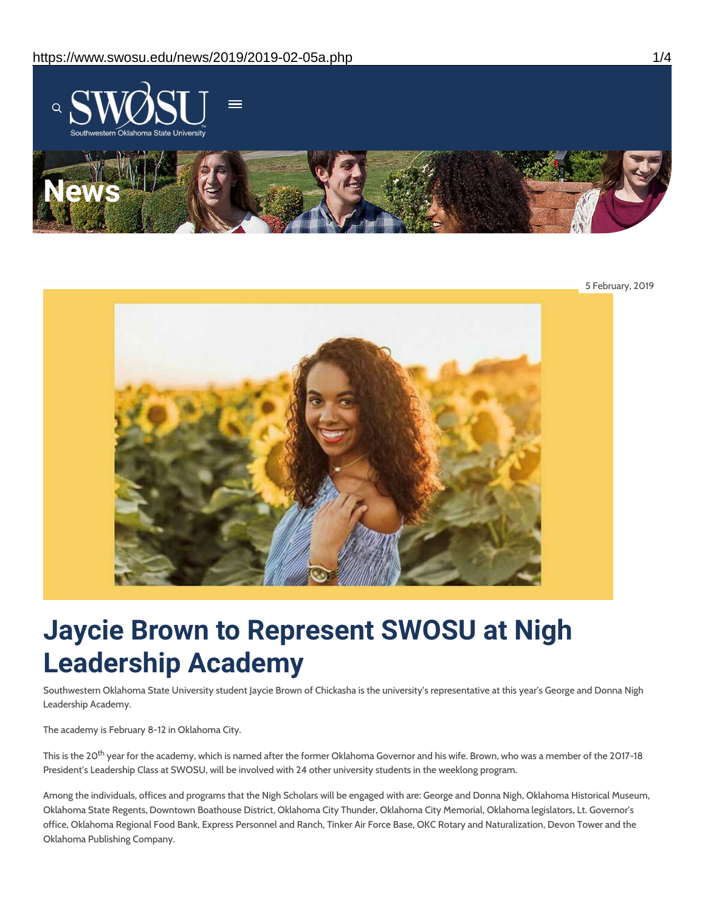

5 February, 2019



# **Jaycie Brown to Represent SWOSU at Nigh Leadership Academy**

Southwestern Oklahoma State University student Jaycie Brown of Chickasha is the university's representative at this year's George and Donna Nigh Leadership Academy.

The academy is February 8-12 in Oklahoma City.

This is the 20<sup>th</sup> year for the academy, which is named after the former Oklahoma Governor and his wife. Brown, who was a member of the 2017-18 President's Leadership Class at SWOSU, will be involved with 24 other university students in the weeklong program.

Among the individuals, offices and programs that the Nigh Scholars will be engaged with are: George and Donna Nigh, Oklahoma Historical Museum, Oklahoma State Regents, Downtown Boathouse District, Oklahoma City Thunder, Oklahoma City Memorial, Oklahoma legislators, Lt. Governor's office, Oklahoma Regional Food Bank, Express Personnel and Ranch, Tinker Air Force Base, OKC Rotary and Naturalization, Devon Tower and the Oklahoma Publishing Company.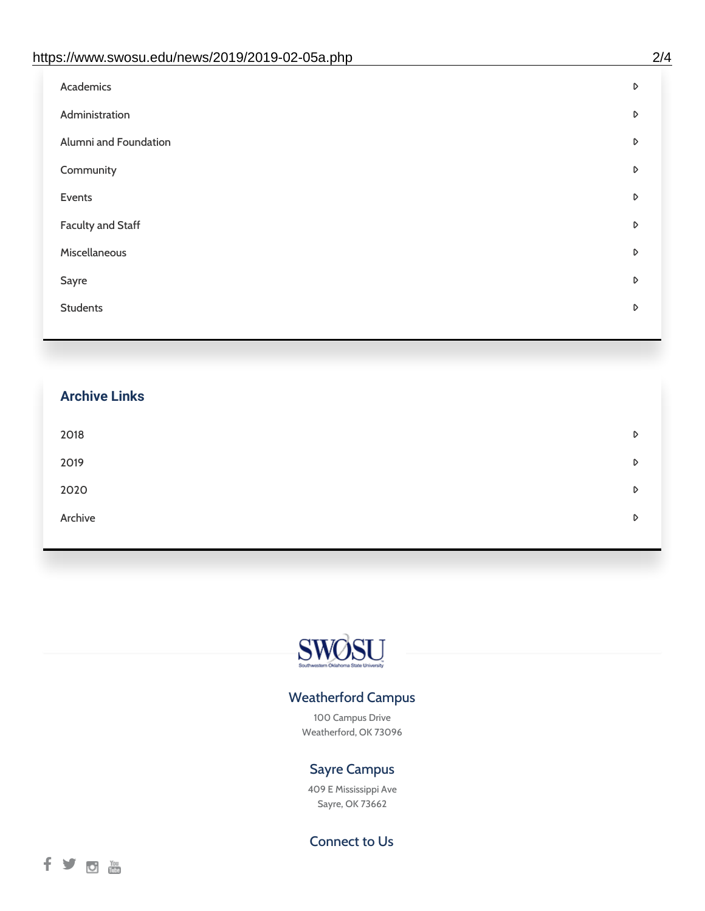| https://www.swosu.edu/news/2019/2019-02-05a.php | 2/4 |
|-------------------------------------------------|-----|
| Academics                                       | D   |
| Administration                                  | D   |
| Alumni and Foundation                           | D   |
| Community                                       | D   |
| Events                                          | D   |
| <b>Faculty and Staff</b>                        | D   |
| Miscellaneous                                   | D   |
| Sayre                                           | D   |
| <b>Students</b>                                 | D   |
|                                                 |     |

# **Archive Links**  $2018$  $2019$ [2020](https://www.swosu.edu/news/2020/index.php)  $\blacksquare$ [Archive](https://dc.swosu.edu/bark/) **Archive Archive Archive Archive Archive** Archive Archive Archive Archive Archive Archive Archive Archive



### Weatherford Campus

100 Campus Drive Weatherford, OK 73096

### Sayre Campus

409 E Mississippi Ave Sayre, OK 73662

Connect to Us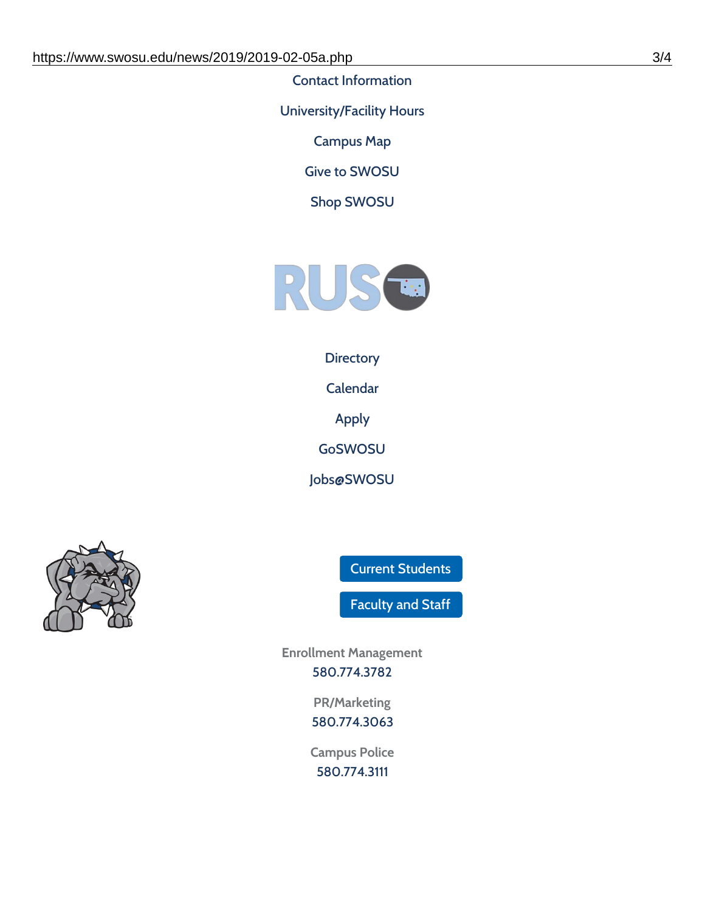Contact [Information](https://www.swosu.edu/about/contact.php)

[University/Facility](https://www.swosu.edu/about/operating-hours.php) Hours

[Campus](https://map.concept3d.com/?id=768#!ct/10964,10214,10213,10212,10205,10204,10203,10202,10136,10129,10128,0,31226,10130,10201,10641,0) Map

Give to [SWOSU](https://standingfirmly.com/donate)

Shop [SWOSU](https://shopswosu.merchorders.com/)



#### **[Directory](https://www.swosu.edu/directory/index.php)**

[Calendar](https://eventpublisher.dudesolutions.com/swosu/)

[Apply](https://www.swosu.edu/admissions/apply-to-swosu.php)

[GoSWOSU](https://qlsso.quicklaunchsso.com/home/1267)

[Jobs@SWOSU](https://swosu.csod.com/ux/ats/careersite/1/home?c=swosu)



Current [Students](https://bulldog.swosu.edu/index.php)

[Faculty](https://bulldog.swosu.edu/faculty-staff/index.php) and Staff

**Enrollment Management** [580.774.3782](tel:5807743782)

> **PR/Marketing** [580.774.3063](tel:5807743063)

**Campus Police** [580.774.3111](tel:5807743111)